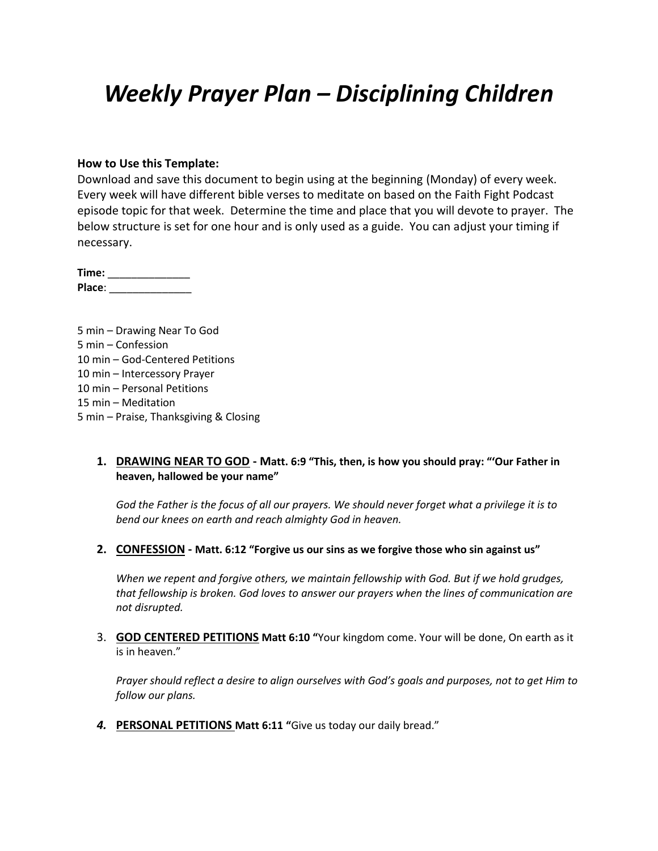# *Weekly Prayer Plan – Disciplining Children*

#### **How to Use this Template:**

Download and save this document to begin using at the beginning (Monday) of every week. Every week will have different bible verses to meditate on based on the Faith Fight Podcast episode topic for that week. Determine the time and place that you will devote to prayer. The below structure is set for one hour and is only used as a guide. You can adjust your timing if necessary.

**Time:** \_\_\_\_\_\_\_\_\_\_\_\_\_\_ **Place**: \_\_\_\_\_\_\_\_\_\_\_\_\_\_

5 min – Drawing Near To God 5 min – Confession 10 min – God-Centered Petitions 10 min – Intercessory Prayer 10 min – Personal Petitions 15 min – Meditation 5 min – Praise, Thanksgiving & Closing

#### **1. DRAWING NEAR TO GOD - Matt. 6:9 "This, then, is how you should pray: "'Our Father in heaven, hallowed be your name"**

*God the Father is the focus of all our prayers. We should never forget what a privilege it is to bend our knees on earth and reach almighty God in heaven.*

**2. CONFESSION - Matt. 6:12 "Forgive us our sins as we forgive those who sin against us"**

*When we repent and forgive others, we maintain fellowship with God. But if we hold grudges, that fellowship is broken. God loves to answer our prayers when the lines of communication are not disrupted.*

3. **GOD CENTERED PETITIONS Matt 6:10 "**Your kingdom come. Your will be done, On earth as it is in heaven."

*Prayer should reflect a desire to align ourselves with God's goals and purposes, not to get Him to follow our plans.*

*4.* **PERSONAL PETITIONS Matt 6:11 "**Give us today our daily bread."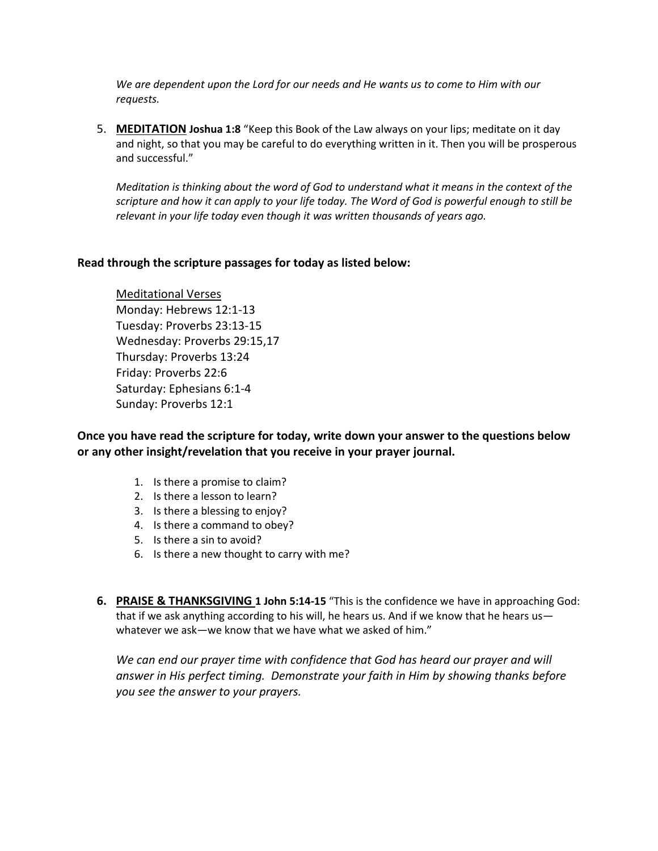*We are dependent upon the Lord for our needs and He wants us to come to Him with our requests.*

5. **MEDITATION Joshua 1:8** "Keep this Book of the Law always on your lips; meditate on it day and night, so that you may be careful to do everything written in it. Then you will be prosperous and successful."

*Meditation is thinking about the word of God to understand what it means in the context of the scripture and how it can apply to your life today. The Word of God is powerful enough to still be relevant in your life today even though it was written thousands of years ago.*

#### **Read through the scripture passages for today as listed below:**

Meditational Verses Monday: Hebrews 12:1-13 Tuesday: Proverbs 23:13-15 Wednesday: Proverbs 29:15,17 Thursday: Proverbs 13:24 Friday: Proverbs 22:6 Saturday: Ephesians 6:1-4 Sunday: Proverbs 12:1

**Once you have read the scripture for today, write down your answer to the questions below or any other insight/revelation that you receive in your prayer journal.** 

- 1. Is there a promise to claim?
- 2. Is there a lesson to learn?
- 3. Is there a blessing to enjoy?
- 4. Is there a command to obey?
- 5. Is there a sin to avoid?
- 6. Is there a new thought to carry with me?
- **6. PRAISE & THANKSGIVING 1 John 5:14-15** "This is the confidence we have in approaching God: that if we ask anything according to his will, he hears us. And if we know that he hears us whatever we ask—we know that we have what we asked of him."

We can end our prayer time with confidence that God has heard our prayer and will *answer in His perfect timing. Demonstrate your faith in Him by showing thanks before you see the answer to your prayers.*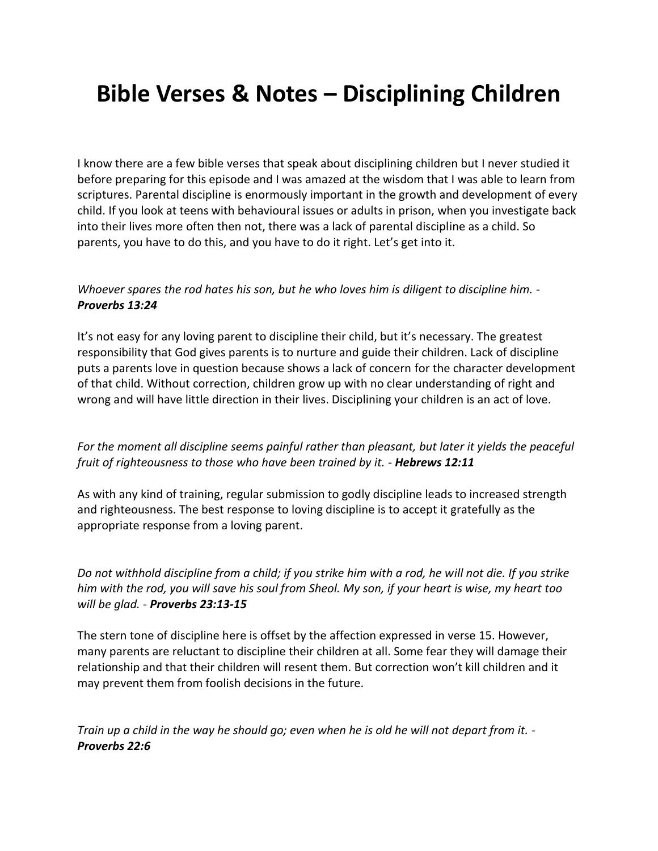# **Bible Verses & Notes – Disciplining Children**

I know there are a few bible verses that speak about disciplining children but I never studied it before preparing for this episode and I was amazed at the wisdom that I was able to learn from scriptures. Parental discipline is enormously important in the growth and development of every child. If you look at teens with behavioural issues or adults in prison, when you investigate back into their lives more often then not, there was a lack of parental discipline as a child. So parents, you have to do this, and you have to do it right. Let's get into it.

### *Whoever spares the rod hates his son, but he who loves him is diligent to discipline him. - Proverbs 13:24*

It's not easy for any loving parent to discipline their child, but it's necessary. The greatest responsibility that God gives parents is to nurture and guide their children. Lack of discipline puts a parents love in question because shows a lack of concern for the character development of that child. Without correction, children grow up with no clear understanding of right and wrong and will have little direction in their lives. Disciplining your children is an act of love.

## *For the moment all discipline seems painful rather than pleasant, but later it yields the peaceful fruit of righteousness to those who have been trained by it. - Hebrews 12:11*

As with any kind of training, regular submission to godly discipline leads to increased strength and righteousness. The best response to loving discipline is to accept it gratefully as the appropriate response from a loving parent.

*Do not withhold discipline from a child; if you strike him with a rod, he will not die. If you strike him with the rod, you will save his soul from Sheol. My son, if your heart is wise, my heart too will be glad. - Proverbs 23:13-15*

The stern tone of discipline here is offset by the affection expressed in verse 15. However, many parents are reluctant to discipline their children at all. Some fear they will damage their relationship and that their children will resent them. But correction won't kill children and it may prevent them from foolish decisions in the future.

*Train up a child in the way he should go; even when he is old he will not depart from it. - Proverbs 22:6*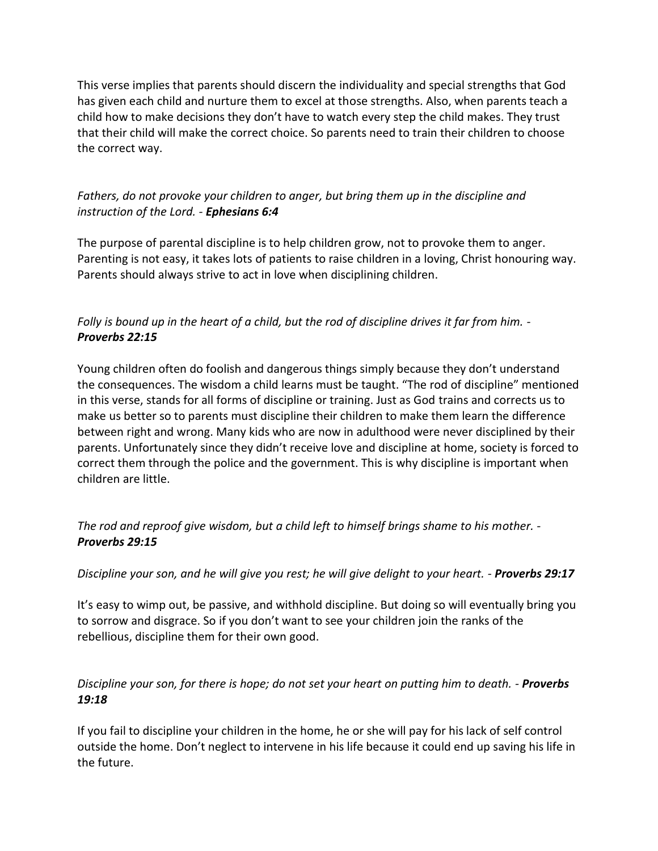This verse implies that parents should discern the individuality and special strengths that God has given each child and nurture them to excel at those strengths. Also, when parents teach a child how to make decisions they don't have to watch every step the child makes. They trust that their child will make the correct choice. So parents need to train their children to choose the correct way.

## *Fathers, do not provoke your children to anger, but bring them up in the discipline and instruction of the Lord. - Ephesians 6:4*

The purpose of parental discipline is to help children grow, not to provoke them to anger. Parenting is not easy, it takes lots of patients to raise children in a loving, Christ honouring way. Parents should always strive to act in love when disciplining children.

# *Folly is bound up in the heart of a child, but the rod of discipline drives it far from him. - Proverbs 22:15*

Young children often do foolish and dangerous things simply because they don't understand the consequences. The wisdom a child learns must be taught. "The rod of discipline" mentioned in this verse, stands for all forms of discipline or training. Just as God trains and corrects us to make us better so to parents must discipline their children to make them learn the difference between right and wrong. Many kids who are now in adulthood were never disciplined by their parents. Unfortunately since they didn't receive love and discipline at home, society is forced to correct them through the police and the government. This is why discipline is important when children are little.

*The rod and reproof give wisdom, but a child left to himself brings shame to his mother. - Proverbs 29:15*

*Discipline your son, and he will give you rest; he will give delight to your heart. - Proverbs 29:17*

It's easy to wimp out, be passive, and withhold discipline. But doing so will eventually bring you to sorrow and disgrace. So if you don't want to see your children join the ranks of the rebellious, discipline them for their own good.

# *Discipline your son, for there is hope; do not set your heart on putting him to death. - Proverbs 19:18*

If you fail to discipline your children in the home, he or she will pay for his lack of self control outside the home. Don't neglect to intervene in his life because it could end up saving his life in the future.